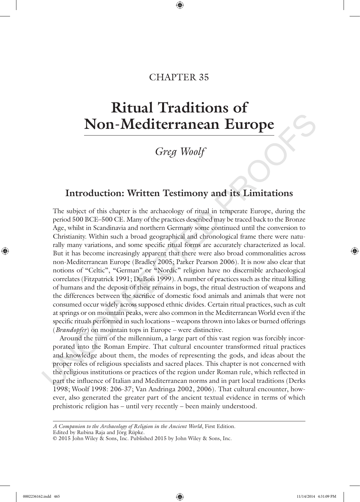#### Chapter 35

⊕

# **Ritual Traditions of Non‐Mediterranean Europe**

## *Greg Woolf*

## **Introduction: Written Testimony and its Limitations**

The subject of this chapter is the archaeology of ritual in temperate Europe, during the period 500 BCE–500 CE. Many of the practices described may be traced back to the Bronze Age, whilst in Scandinavia and northern Germany some continued until the conversion to Christianity. Within such a broad geographical and chronological frame there were naturally many variations, and some specific ritual forms are accurately characterized as local. But it has become increasingly apparent that there were also broad commonalities across non‐Mediterranean Europe (Bradley 2005; Parker Pearson 2006). It is now also clear that notions of "Celtic", "German" or "Nordic" religion have no discernible archaeological correlates (Fitzpatrick 1991; DuBois 1999). A number of practices such as the ritual killing of humans and the deposit of their remains in bogs, the ritual destruction of weapons and the differences between the sacrifice of domestic food animals and animals that were not consumed occur widely across supposed ethnic divides. Certain ritual practices, such as cult at springs or on mountain peaks, were also common in the Mediterranean World even if the specific rituals performed in such locations – weapons thrown into lakes or burned offerings (*Brandopfer*) on mountain tops in Europe – were distinctive. **Non-Mediterranean Europe**<br>
Greg Woolf<br>
Greg Woolf<br>
Greg Woolf<br>
Greg Woolf<br>
Comparison and its Limitations<br>
The subject of this chapter is the archaeology of ritual in temperate Europe, during the<br>
period 500 BCE-500 CE.

Around the turn of the millennium, a large part of this vast region was forcibly incorporated into the Roman Empire. That cultural encounter transformed ritual practices and knowledge about them, the modes of representing the gods, and ideas about the proper roles of religious specialists and sacred places. This chapter is not concerned with the religious institutions or practices of the region under Roman rule, which reflected in part the influence of Italian and Mediterranean norms and in part local traditions (Derks 1998; Woolf 1998: 206‐37; Van Andringa 2002, 2006). That cultural encounter, however, also generated the greater part of the ancient textual evidence in terms of which prehistoric religion has – until very recently – been mainly understood.

◈

*A Companion to the Archaeology of Religion in the Ancient World*, First Edition. Edited by Rubina Raja and Jörg Rüpke.

<sup>© 2015</sup> John Wiley & Sons, Inc. Published 2015 by John Wiley & Sons, Inc.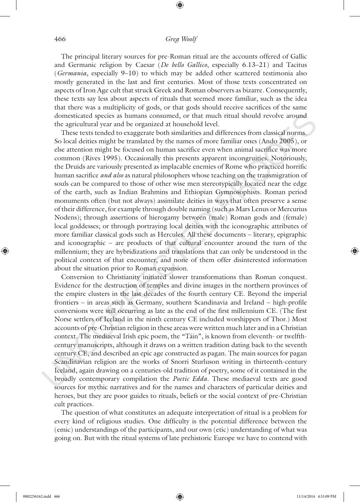⊕

The principal literary sources for pre‐Roman ritual are the accounts offered of Gallic and Germanic religion by Caesar (*De bello Gallico*, especially 6.13–21) and Tacitus (*Germania*, especially 9–10) to which may be added other scattered testimonia also mostly generated in the last and first centuries. Most of those texts concentrated on aspects of Iron Age cult that struck Greek and Roman observers as bizarre. Consequently, these texts say less about aspects of rituals that seemed more familiar, such as the idea that there was a multiplicity of gods, or that gods should receive sacrifices of the same domesticated species as humans consumed, or that much ritual should revolve around the agricultural year and be organized at household level.

These texts tended to exaggerate both similarities and differences from classical norms. So local deities might be translated by the names of more familiar ones (Ando 2005), or else attention might be focused on human sacrifice even when animal sacrifice was more common (Rives 1995). Occasionally this presents apparent incongruities. Notoriously, the Druids are variously presented as implacable enemies of Rome who practiced horrific human sacrifice *and also* as natural philosophers whose teaching on the transmigration of souls can be compared to those of other wise men stereotypically located near the edge of the earth, such as Indian Brahmins and Ethiopian Gymnosophists. Roman period monuments often (but not always) assimilate deities in ways that often preserve a sense of their difference, for example through double naming (such as Mars Lenus or Mercurius Nodens); through assertions of hierogamy between (male) Roman gods and (female) local goddesses; or through portraying local deities with the iconographic attributes of more familiar classical gods such as Hercules. All these documents – literary, epigraphic and iconographic – are products of that cultural encounter around the turn of the millennium; they are hybridizations and translations that can only be understood in the political context of that encounter, and none of them offer disinterested information about the situation prior to Roman expansion. domesticated pecies as humans consumed, or that much ritutal should revolve around<br>the agricultural year and be organized at household level.<br>These texts tended to exaggerate both similarities and differences from classic

Conversion to Christianity initiated slower transformations than Roman conquest. Evidence for the destruction of temples and divine images in the northern provinces of the empire clusters in the last decades of the fourth century CE. Beyond the imperial frontiers – in areas such as Germany, southern Scandinavia and Ireland – high‐profile conversions were still occurring as late as the end of the first millennium CE. (The first Norse settlers of Iceland in the ninth century CE included worshippers of Thor.) Most accounts of pre‐Christian religion in these areas were written much later and in a Christian context. The mediaeval Irish epic poem, the "Táin", is known from eleventh- or twelfthcentury manuscripts, although it draws on a written tradition dating back to the seventh century CE, and described an epic age constructed as pagan. The main sources for pagan Scandinavian religion are the works of Snorri Sturluson writing in thirteenth-century Iceland, again drawing on a centuries‐old tradition of poetry, some of it contained in the broadly contemporary compilation the *Poetic Edda*. These mediaeval texts are good sources for mythic narratives and for the names and characters of particular deities and heroes, but they are poor guides to rituals, beliefs or the social context of pre‐Christian cult practices.

The question of what constitutes an adequate interpretation of ritual is a problem for every kind of religious studies. One difficulty is the potential difference between the (emic) understandings of the participants, and our own (etic) understanding of what was going on. But with the ritual systems of late prehistoric Europe we have to contend with

◈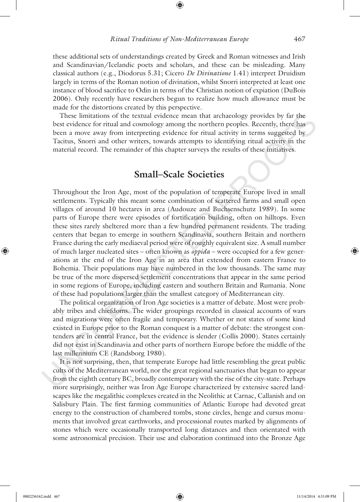these additional sets of understandings created by Greek and Roman witnesses and Irish and Scandinavian/Icelandic poets and scholars, and these can be misleading. Many classical authors (e.g., Diodorus 5.31; Cicero *De Divinatione* 1.41) interpret Druidism largely in terms of the Roman notion of divination, whilst Snorri interpreted at least one instance of blood sacrifice to Odin in terms of the Christian notion of expiation (DuBois 2006). Only recently have researchers begun to realize how much allowance must be made for the distortions created by this perspective.

These limitations of the textual evidence mean that archaeology provides by far the best evidence for ritual and cosmology among the northern peoples. Recently, there has been a move away from interpreting evidence for ritual activity in terms suggested by Tacitus, Snorri and other writers, towards attempts to identifying ritual activity in the material record. The remainder of this chapter surveys the results of these initiatives.

#### **Small–Scale Societies**

Throughout the Iron Age, most of the population of temperate Europe lived in small settlements. Typically this meant some combination of scattered farms and small open villages of around 10 hectares in area (Audouze and Buchsenschutz 1989). In some parts of Europe there were episodes of fortification building, often on hilltops. Even these sites rarely sheltered more than a few hundred permanent residents. The trading centers that began to emerge in southern Scandinavia, southern Britain and northern France during the early mediaeval period were of roughly equivalent size. A small number of much larger nucleated sites – often known as *oppida* – were occupied for a few generations at the end of the Iron Age in an area that extended from eastern France to Bohemia. Their populations may have numbered in the low thousands. The same may be true of the more dispersed settlement concentrations that appear in the same period in some regions of Europe, including eastern and southern Britain and Rumania. None of these had populations larger than the smallest category of Mediterranean city. These limitations of the textual evidence mean that archoology provides by far the secondary and cosmology among the nontrin propels. Recently, there has been a move away from interpreting evidence for ritual activity in

The political organization of Iron Age societies is a matter of debate. Most were probably tribes and chiefdoms. The wider groupings recorded in classical accounts of wars and migrations were often fragile and temporary. Whether or not states of some kind existed in Europe prior to the Roman conquest is a matter of debate: the strongest contenders are in central France, but the evidence is slender (Collis 2000). States certainly did not exist in Scandinavia and other parts of northern Europe before the middle of the last millennium CE (Randsborg 1980).

It is not surprising, then, that temperate Europe had little resembling the great public cults of the Mediterranean world, nor the great regional sanctuaries that began to appear from the eighth century BC, broadly contemporary with the rise of the city-state. Perhaps more surprisingly, neither was Iron Age Europe characterized by extensive sacred landscapes like the megalithic complexes created in the Neolithic at Carnac, Callanish and on Salisbury Plain. The first farming communities of Atlantic Europe had devoted great energy to the construction of chambered tombs, stone circles, henge and cursus monuments that involved great earthworks, and processional routes marked by alignments of stones which were occasionally transported long distances and then orientated with some astronomical precision. Their use and elaboration continued into the Bronze Age

◈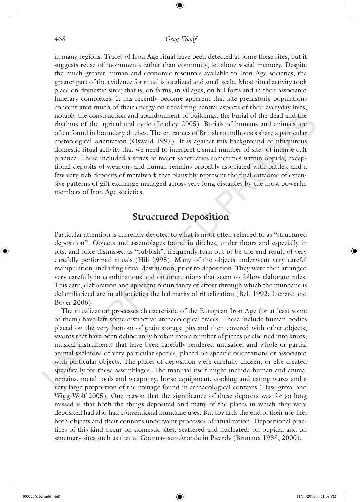⊕

in many regions. Traces of Iron Age ritual have been detected at some these sites, but it suggests reuse of monuments rather than continuity, let alone social memory. Despite the much greater human and economic resources available to Iron Age societies, the greater part of the evidence for ritual is localized and small scale. Most ritual activity took place on domestic sites; that is, on farms, in villages, on hill forts and in their associated funerary complexes. It has recently become apparent that late prehistoric populations concentrated much of their energy on ritualizing central aspects of their everyday lives, notably the construction and abandonment of buildings, the burial of the dead and the rhythms of the agricultural cycle (Bradley 2005). Burials of humans and animals are often found in boundary ditches. The entrances of British roundhouses share a particular cosmological orientation (Oswald 1997). It is against this background of ubiquitous domestic ritual activity that we need to interpret a small number of sites of intense cult practice. These included a series of major sanctuaries sometimes within oppida; exceptional deposits of weapons and human remains probably associated with battles; and a few very rich deposits of metalwork that plausibly represent the final outcome of extensive patterns of gift exchange managed across very long distances by the most powerful members of Iron Age societies. motally the construction and abandoment of buildings, the burid of the deal and the<br>motally perconstrated constrained comparison of buildings, the burid of the deal and the<br>soften fund in boundary dicties. The entrances of

#### **Structured Deposition**

Particular attention is currently devoted to what is most often referred to as "structured deposition". Objects and assemblages found in ditches, under floors and especially in pits, and once dismissed as "rubbish", frequently turn out to be the end result of very carefully performed rituals (Hill 1995). Many of the objects underwent very careful manipulation, including ritual destruction, prior to deposition. They were then arranged very carefully in combinations and on orientations that seem to follow elaborate rules. This care, elaboration and apparent redundancy of effort through which the mundane is defamiliarized are in all societies the hallmarks of ritualization (Bell 1992; Liénard and Boyer 2006).

The ritualization processes characteristic of the European Iron Age (or at least some of them) have left some distinctive archaeological traces. These include human bodies placed on the very bottom of grain storage pits and then covered with other objects; swords that have been deliberately broken into a number of pieces or else tied into knots; musical instruments that have been carefully rendered unusable; and whole or partial animal skeletons of very particular species, placed on specific orientations or associated with particular objects. The places of deposition were carefully chosen, or else created specifically for these assemblages. The material itself might include human and animal remains, metal tools and weaponry, horse equipment, cooking and eating wares and a very large proportion of the coinage found in archaeological contexts (Haselgrove and Wigg‐Wolf 2005). One reason that the significance of these deposits was for so long missed is that both the things deposited and many of the places in which they were deposited had also had conventional mundane uses. But towards the end of their use‐life, both objects and their contexts underwent processes of ritualization. Depositional practices of this kind occur on domestic sites, scattered and nucleated; on oppida; and on sanctuary sites such as that at Gournay-sur-Aronde in Picardy (Brunaux 1988, 2000).

◈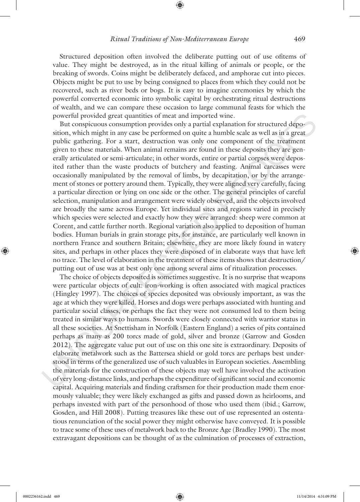#### *Ritual Traditions of Non‐Mediterranean Europe* 469

⊕

Structured deposition often involved the deliberate putting out of use ofitems of value. They might be destroyed, as in the ritual killing of animals or people, or the breaking of swords. Coins might be deliberately defaced, and amphorae cut into pieces. Objects might be put to use by being consigned to places from which they could not be recovered, such as river beds or bogs. It is easy to imagine ceremonies by which the powerful converted economic into symbolic capital by orchestrating ritual destructions of wealth, and we can compare these occasion to large communal feasts for which the powerful provided great quantities of meat and imported wine.

But conspicuous consumption provides only a partial explanation for structured deposition, which might in any case be performed on quite a humble scale as well as in a great public gathering. For a start, destruction was only one component of the treatment given to these materials. When animal remains are found in these deposits they are generally articulated or semi‐articulate; in other words, entire or partial corpses were deposited rather than the waste products of butchery and feasting. Animal carcasses were occasionally manipulated by the removal of limbs, by decapitation, or by the arrangement of stones or pottery around them. Typically, they were aligned very carefully, facing a particular direction or lying on one side or the other. The general principles of careful selection, manipulation and arrangement were widely observed, and the objects involved are broadly the same across Europe. Yet individual sites and regions varied in precisely which species were selected and exactly how they were arranged: sheep were common at Corent, and cattle further north. Regional variation also applied to deposition of human bodies. Human burials in grain storage pits, for instance, are particularly well known in northern France and southern Britain; elsewhere, they are more likely found in watery sites, and perhaps in other places they were disposed of in elaborate ways that have left no trace. The level of elaboration in the treatment of these items shows that destruction/ putting out of use was at best only one among several aims of ritualization processes. powerful provided great quantities of mean and imported wine. But compisons consumption provides only a partial explanation for structured deposition, which might in any case be performed on quite a humble scale as well as

The choice of objects deposited is sometimes suggestive. It is no surprise that weapons were particular objects of cult: iron-working is often associated with magical practices (Hingley 1997). The choices of species deposited was obviously important, as was the age at which they were killed. Horses and dogs were perhaps associated with hunting and particular social classes, or perhaps the fact they were not consumed led to them being treated in similar ways to humans. Swords were closely connected with warrior status in all these societies. At Snettisham in Norfolk (Eastern England) a series of pits contained perhaps as many as 200 torcs made of gold, silver and bronze (Garrow and Gosden 2012). The aggregate value put out of use on this one site is extraordinary. Deposits of elaborate metalwork such as the Battersea shield or gold torcs are perhaps best understood in terms of the generalized use of such valuables in European societies. Assembling the materials for the construction of these objects may well have involved the activation of very long‐distance links, and perhaps the expenditure of significant social and economic capital. Acquiring materials and finding craftsmen for their production made them enormously valuable; they were likely exchanged as gifts and passed down as heirlooms, and perhaps invested with part of the personhood of those who used them (ibid.; Garrow, Gosden, and Hill 2008). Putting treasures like these out of use represented an ostentatious renunciation of the social power they might otherwise have conveyed. It is possible to trace some of these uses of metalwork back to the Bronze Age (Bradley 1990). The most extravagant depositions can be thought of as the culmination of processes of extraction,

◈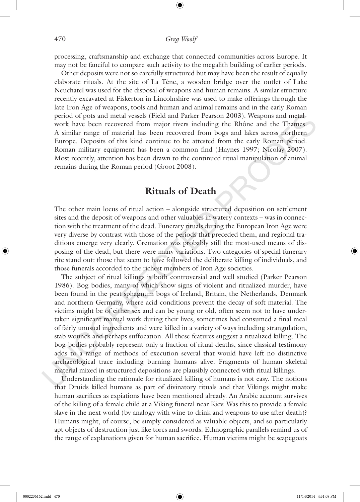processing, craftsmanship and exchange that connected communities across Europe. It may not be fanciful to compare such activity to the megalith building of earlier periods.

Other deposits were not so carefully structured but may have been the result of equally elaborate rituals. At the site of La Tène, a wooden bridge over the outlet of Lake Neuchatel was used for the disposal of weapons and human remains. A similar structure recently excavated at Fiskerton in Lincolnshire was used to make offerings through the late Iron Age of weapons, tools and human and animal remains and in the early Roman period of pots and metal vessels (Field and Parker Pearson 2003). Weapons and metalwork have been recovered from major rivers including the Rhône and the Thames. A similar range of material has been recovered from bogs and lakes across northern Europe. Deposits of this kind continue to be attested from the early Roman period. Roman military equipment has been a common find (Haynes 1997; Nicolay 2007). Most recently, attention has been drawn to the continued ritual manipulation of animal remains during the Roman period (Groot 2008).

## **Rituals of Death**

The other main locus of ritual action – alongside structured deposition on settlement sites and the deposit of weapons and other valuables in watery contexts – was in connection with the treatment of the dead. Funerary rituals during the European Iron Age were very diverse by contrast with those of the periods that preceded them, and regional traditions emerge very clearly. Cremation was probably still the most‐used means of disposing of the dead, but there were many variations. Two categories of special funerary rite stand out: those that seem to have followed the deliberate killing of individuals, and those funerals accorded to the richest members of Iron Age societies.

The subject of ritual killings is both controversial and well studied (Parker Pearson 1986). Bog bodies, many of which show signs of violent and ritualized murder, have been found in the peat sphagnum bogs of Ireland, Britain, the Netherlands, Denmark and northern Germany, where acid conditions prevent the decay of soft material. The victims might be of either sex and can be young or old, often seem not to have undertaken significant manual work during their lives, sometimes had consumed a final meal of fairly unusual ingredients and were killed in a variety of ways including strangulation, stab wounds and perhaps suffocation. All these features suggest a ritualized killing. The bog‐bodies probably represent only a fraction of ritual deaths, since classical testimony adds to a range of methods of execution several that would have left no distinctive archaeological trace including burning humans alive. Fragments of human skeletal material mixed in structured depositions are plausibly connected with ritual killings. period of poss and meal vessels (Field and Parker Pearson 2003). Weapons and meals<br>work have been recovered from anjor rivers including the Rhône and the Thaness<br>A similar range of material has been recovered from boys and

Understanding the rationale for ritualized killing of humans is not easy. The notions that Druids killed humans as part of divinatory rituals and that Vikings might make human sacrifices as expiations have been mentioned already. An Arabic account survives of the killing of a female child at a Viking funeral near Kiev. Was this to provide a female slave in the next world (by analogy with wine to drink and weapons to use after death)? Humans might, of course, be simply considered as valuable objects, and so particularly apt objects of destruction just like torcs and swords. Ethnographic parallels remind us of the range of explanations given for human sacrifice. Human victims might be scapegoats

◈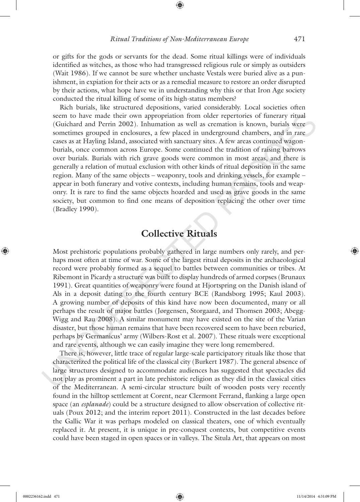or gifts for the gods or servants for the dead. Some ritual killings were of individuals identified as witches, as those who had transgressed religious rule or simply as outsiders (Wait 1986). If we cannot be sure whether unchaste Vestals were buried alive as a punishment, in expiation for their acts or as a remedial measure to restore an order disrupted by their actions, what hope have we in understanding why this or that Iron Age society conducted the ritual killing of some of its high‐status members?

Rich burials, like structured depositions, varied considerably. Local societies often seem to have made their own appropriation from older repertories of funerary ritual (Guichard and Perrin 2002). Inhumation as well as cremation is known, burials were sometimes grouped in enclosures, a few placed in underground chambers, and in rare cases as at Hayling Island, associated with sanctuary sites. A few areas continued wagonburials, once common across Europe. Some continued the tradition of raising barrows over burials. Burials with rich grave goods were common in most areas, and there is generally a relation of mutual exclusion with other kinds of ritual deposition in the same region. Many of the same objects – weaponry, tools and drinking vessels, for example – appear in both funerary and votive contexts, including human remains, tools and weaponry. It is rare to find the same objects hoarded and used as grave goods in the same society, but common to find one means of deposition replacing the other over time (Bradley 1990). seem to have made their own appropriation from older repertories of funerary rival<br>Cuichard and Periri 2002). Inhunation as well as cremation is known, burials were<br>sometimes grouped in enclosures, a few placed in undergro

## **Collective Rituals**

Most prehistoric populations probably gathered in large numbers only rarely, and perhaps most often at time of war. Some of the largest ritual deposits in the archaeological record were probably formed as a sequel to battles between communities or tribes. At Ribemont in Picardy a structure was built to display hundreds of armed corpses (Brunaux 1991). Great quantities of weaponry were found at Hjortspring on the Danish island of Als in a deposit dating to the fourth century BCE (Randsborg 1995; Kaul 2003). A growing number of deposits of this kind have now been documented, many or all perhaps the result of major battles (Jørgensen, Storgaard, and Thomsen 2003; Abegg-Wigg and Rau 2008). A similar monument may have existed on the site of the Varian disaster, but those human remains that have been recovered seem to have been reburied, perhaps by Germanicus' army (Wilbers‐Rost et al. 2007). These rituals were exceptional and rare events, although we can easily imagine they were long remembered.

There is, however, little trace of regular large‐scale participatory rituals like those that characterized the political life of the classical city (Burkert 1987). The general absence of large structures designed to accommodate audiences has suggested that spectacles did not play as prominent a part in late prehistoric religion as they did in the classical cities of the Mediterranean. A semi‐circular structure built of wooden posts very recently found in the hilltop settlement at Corent, near Clermont Ferrand, flanking a large open space (an *esplanade*) could be a structure designed to allow observation of collective rituals (Poux 2012; and the interim report 2011). Constructed in the last decades before the Gallic War it was perhaps modeled on classical theaters, one of which eventually replaced it. At present, it is unique in pre‐conquest contexts, but competitive events could have been staged in open spaces or in valleys. The Situla Art, that appears on most

◈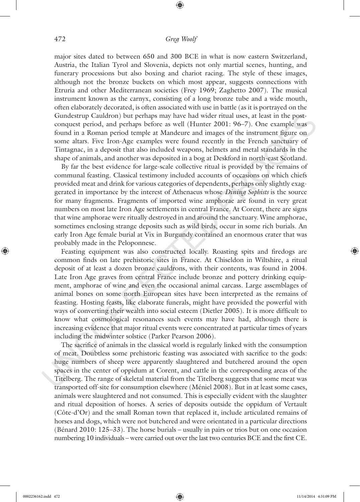⊕

major sites dated to between 650 and 300 BCE in what is now eastern Switzerland, Austria, the Italian Tyrol and Slovenia, depicts not only martial scenes, hunting, and funerary processions but also boxing and chariot racing. The style of these images, although not the bronze buckets on which most appear, suggests connections with Etruria and other Mediterranean societies (Frey 1969; Zaghetto 2007). The musical instrument known as the carnyx, consisting of a long bronze tube and a wide mouth, often elaborately decorated, is often associated with use in battle (as it is portrayed on the Gundestrup Cauldron) but perhaps may have had wider ritual uses, at least in the postconquest period, and perhaps before as well (Hunter 2001: 96–7). One example was found in a Roman period temple at Mandeure and images of the instrument figure on some altars. Five Iron‐Age examples were found recently in the French sanctuary of Tintagnac, in a deposit that also included weapons, helmets and metal standards in the shape of animals, and another was deposited in a bog at Deskford in north‐east Scotland.

By far the best evidence for large‐scale collective ritual is provided by the remains of communal feasting. Classical testimony included accounts of occasions on which chiefs provided meat and drink for various categories of dependents, perhaps only slightly exaggerated in importance by the interest of Athenaeus whose *Dining Sophists* is the source for many fragments. Fragments of imported wine amphorae are found in very great numbers on most late Iron Age settlements in central France. At Corent, there are signs that wine amphorae were ritually destroyed in and around the sanctuary. Wine amphorae, sometimes enclosing strange deposits such as wild birds, occur in some rich burials. An early Iron Age female burial at Vix in Burgundy contained an enormous crater that was probably made in the Peloponnese.

Feasting equipment was also constructed locally. Roasting spits and firedogs are common finds on late prehistoric sites in France. At Chiseldon in Wiltshire, a ritual deposit of at least a dozen bronze cauldrons, with their contents, was found in 2004. Late Iron Age graves from central France include bronze and pottery drinking equipment, amphorae of wine and even the occasional animal carcass. Large assemblages of animal bones on some north European sites have been interpreted as the remains of feasting. Hosting feasts, like elaborate funerals, might have provided the powerful with ways of converting their wealth into social esteem (Dietler 2005). It is more difficult to know what cosmological resonances such events may have had, although there is increasing evidence that major ritual events were concentrated at particular times of years including the midwinter solstice (Parker Pearson 2006). Gundertry Cauldron) but perhaps may have had wider ritual uses, at least in the post-<br>conguest period, and perhaps before as well (Hunter 2001: 96–7). One example was<br>found in a Roman period temple at Mandeure and images

The sacrifice of animals in the classical world is regularly linked with the consumption of meat. Doubtless some prehistoric feasting was associated with sacrifice to the gods: huge numbers of sheep were apparently slaughtered and butchered around the open spaces in the center of oppidum at Corent, and cattle in the corresponding areas of the Titelberg. The range of skeletal material from the Titelberg suggests that some meat was transported off-site for consumption elsewhere (Méniel 2008). But in at least some cases, animals were slaughtered and not consumed. This is especially evident with the slaughter and ritual deposition of horses. A series of deposits outside the oppidum of Vertault (Côte‐d'Or) and the small Roman town that replaced it, include articulated remains of horses and dogs, which were not butchered and were orientated in a particular directions (Bénard 2010: 125–33). The horse burials – usually in pairs or trios but on one occasion numbering 10 individuals – were carried out over the last two centuries BCE and the first CE.

◈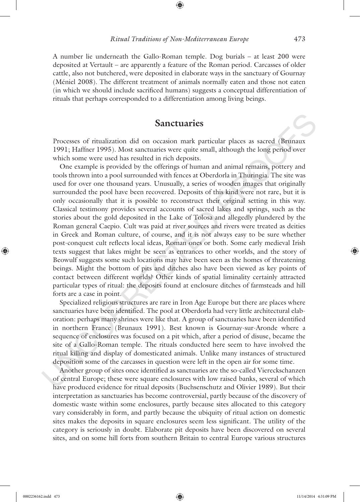A number lie underneath the Gallo‐Roman temple. Dog burials – at least 200 were deposited at Vertault – are apparently a feature of the Roman period. Carcasses of older cattle, also not butchered, were deposited in elaborate ways in the sanctuary of Gournay (Méniel 2008). The different treatment of animals normally eaten and those not eaten (in which we should include sacrificed humans) suggests a conceptual differentiation of rituals that perhaps corresponded to a differentiation among living beings.

#### **Sanctuaries**

Processes of ritualization did on occasion mark particular places as sacred (Brunaux 1991; Haffner 1995). Most sanctuaries were quite small, although the long period over which some were used has resulted in rich deposits.

One example is provided by the offerings of human and animal remains, pottery and tools thrown into a pool surrounded with fences at Oberdorla in Thuringia. The site was used for over one thousand years. Unusually, a series of wooden images that originally surrounded the pool have been recovered. Deposits of this kind were not rare, but it is only occasionally that it is possible to reconstruct their original setting in this way. Classical testimony provides several accounts of sacred lakes and springs, such as the stories about the gold deposited in the Lake of Tolosa and allegedly plundered by the Roman general Caepio. Cult was paid at river sources and rivers were treated as deities in Greek and Roman culture, of course, and it is not always easy to be sure whether post‐conquest cult reflects local ideas, Roman ones or both. Some early medieval Irish texts suggest that lakes might be seen as entrances to other worlds, and the story of Beowulf suggests some such locations may have been seen as the homes of threatening beings. Might the bottom of pits and ditches also have been viewed as key points of contact between different worlds? Other kinds of spatial liminality certainly attracted particular types of ritual: the deposits found at enclosure ditches of farmsteads and hill forts are a case in point. UNCORRECTED PROOFS

Specialized religious structures are rare in Iron Age Europe but there are places where sanctuaries have been identified. The pool at Oberdorla had very little architectural elaboration: perhaps many shrines were like that. A group of sanctuaries have been identified in northern France (Brunaux 1991). Best known is Gournay‐sur‐Aronde where a sequence of enclosures was focused on a pit which, after a period of disuse, became the site of a Gallo‐Roman temple. The rituals conducted here seem to have involved the ritual killing and display of domesticated animals. Unlike many instances of structured deposition some of the carcasses in question were left in the open air for some time.

Another group of sites once identified as sanctuaries are the so‐called Viereckschanzen of central Europe; these were square enclosures with low raised banks, several of which have produced evidence for ritual deposits (Buchsenschutz and Olivier 1989). But their interpretation as sanctuaries has become controversial, partly because of the discovery of domestic waste within some enclosures, partly because sites allocated to this category vary considerably in form, and partly because the ubiquity of ritual action on domestic sites makes the deposits in square enclosures seem less significant. The utility of the category is seriously in doubt. Elaborate pit deposits have been discovered on several sites, and on some hill forts from southern Britain to central Europe various structures

◈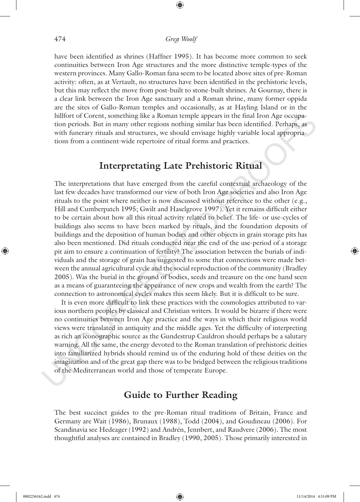⊕

have been identified as shrines (Haffner 1995). It has become more common to seek continuities between Iron Age structures and the more distinctive temple‐types of the western provinces. Many Gallo‐Roman fana seem to be located above sites of pre‐Roman activity: often, as at Vertault, no structures have been identified in the prehistoric levels, but this may reflect the move from post-built to stone-built shrines. At Gournay, there is a clear link between the Iron Age sanctuary and a Roman shrine, many former oppida are the sites of Gallo‐Roman temples and occasionally, as at Hayling Island or in the hillfort of Corent, something like a Roman temple appears in the final Iron Age occupation periods. But in many other regions nothing similar has been identified. Perhaps, as with funerary rituals and structures, we should envisage highly variable local appropriations from a continent‐wide repertoire of ritual forms and practices.

## **Interpretating Late Prehistoric Ritual**

The interpretations that have emerged from the careful contextual archaeology of the last few decades have transformed our view of both Iron Age societies and also Iron Age rituals to the point where neither is now discussed without reference to the other (e.g., Hill and Cumberpatch 1995; Gwilt and Haselgrove 1997). Yet it remains difficult either to be certain about how all this ritual activity related to belief. The life‐ or use‐cycles of buildings also seems to have been marked by rituals, and the foundation deposits of buildings and the deposition of human bodies and other objects in grain storage pits has also been mentioned. Did rituals conducted near the end of the use‐period of a storage pit aim to ensure a continuation of fertility? The association between the burials of individuals and the storage of grain has suggested to some that connections were made between the annual agricultural cycle and the social reproduction of the community (Bradley 2005). Was the burial in the ground of bodies, seeds and treasure on the one hand seen as a means of guaranteeing the appearance of new crops and wealth from the earth? The connection to astronomical cycles makes this seem likely. But it is difficult to be sure. hillion of Corent, something like a Roman nemple appears in the final tron Age occupa-<br>ison periods. But in many other regions nothing similar has been identified. Perhaps, as<br>with funerary rituals and structures, we shou

It is even more difficult to link these practices with the cosmologies attributed to various northern peoples by classical and Christian writers. It would be bizarre if there were no continuities between Iron Age practice and the ways in which their religious world views were translated in antiquity and the middle ages. Yet the difficulty of interpreting as rich an iconographic source as the Gundestrup Cauldron should perhaps be a salutary warning. All the same, the energy devoted to the Roman translation of prehistoric deities into familiarized hybrids should remind us of the enduring hold of these deities on the imagination and of the great gap there was to be bridged between the religious traditions of the Mediterranean world and those of temperate Europe.

## **Guide to Further Reading**

The best succinct guides to the pre‐Roman ritual traditions of Britain, France and Germany are Wait (1986), Brunaux (1988), Todd (2004), and Goudineau (2006). For Scandinavia see Hedeager (1992) and Andrén, Jennbert, and Raudvere (2006). The most thoughtful analyses are contained in Bradley (1990, 2005). Those primarily interested in

◈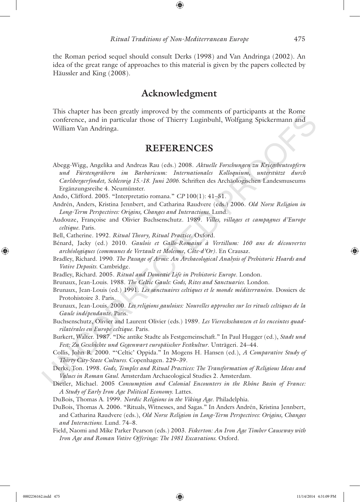the Roman period sequel should consult Derks (1998) and Van Andringa (2002). An idea of the great range of approaches to this material is given by the papers collected by Häussler and King (2008).

## **Acknowledgment**

This chapter has been greatly improved by the comments of participants at the Rome conference, and in particular those of Thierry Luginbuhl, Wolfgang Spickermann and William Van Andringa.

#### **References**

Abegg‐Wigg, Angelika and Andreas Rau (eds.) 2008. *Aktuelle Forschungen zu Kriegsbeuteopfern und Fürstengräbern im Barbaricum: Internationales Kolloquium, unterstützt durch Carlsbergerfondet, Schleswig 15.‐18. Juni 2006*. Schriften des Archäologischen Landesmuseums Ergänzungsreihe 4. Neumünster. 1 an experte and other parallel and other three Europes and the parallel of the conference, and in particular those of Thierry Luginbuhl, Wolfgang Spickermann and<br>
William Van Andringa.<br> **REFERENCIES**<br>
Alegg-Wigg, Angelika

Ando, Clifford. 2005. "Interpretatio romana." *CP* 100(1): 41–51.

- Andrén, Anders, Kristina Jennbert, and Catharina Raudvere (eds.) 2006. *Old Norse Religion in Long‐Term Perspectives: Origins, Changes and Interactions*. Lund.
- Audouze, Françoise and Olivier Buchsenschutz. 1989. *Villes, villages et campagnes d'Europe celtique*. Paris.
- Bell, Catherine. 1992. *Ritual Theory, Ritual Practice*. Oxford.
- Bénard, Jacky (ed.) 2010. *Gaulois et Gallo‐Romains à Vertillum: 160 ans de découvertes archéologiques (communes de Vertault et Molesme, Côte‐d'Or)*. En Crausaz.
- Bradley, Richard. 1990. *The Passage of Arms: An Archaeological Analysis of Prehistoric Hoards and Votive Deposits*. Cambridge.
- Bradley, Richard. 2005. *Ritual and Domestic Life in Prehistoric Europe*. London.
- Brunaux, Jean‐Louis. 1988. *The Celtic Gauls: Gods, Rites and Sanctuaries*. London.
- Brunaux, Jean‐Louis (ed.) 1991. *Les sanctuaires celtiques et le monde méditerranéen*. Dossiers de Protohistoire 3. Paris.
- Brunaux, Jean‐Louis. 2000. *Les religions gauloises: Nouvelles approches sur les rituels celtiques de la Gaule indépendante*. Paris.
- Buchsenschutz, Olivier and Laurent Olivier (eds.) 1989. *Les Viereckschanzen et les enceintes quadrilatérales en Europe celtique*. Paris.
- Burkert, Walter. 1987. "Die antike Stadte als Festgemeinschaft." In Paul Hugger (ed.), *Stadt und Fest: Zu Geschichte und Gegenwart europäischer Festkultur*. Unträgeri. 24–44.
- Collis, John R. 2000. "'Celtic' Oppida." In Mogens H. Hansen (ed.), *A Comparative Study of Thirty City‐State Cultures*. Copenhagen. 229–39.
- Derks, Ton. 1998. *Gods, Temples and Ritual Practices: The Transformation of Religious Ideas and Values in Roman Gaul*. Amsterdam Archaeological Studies 2. Amsterdam.
- Dietler, Michael. 2005 *Consumption and Colonial Encounters in the Rhône Basin of France: A Study of Early Iron Age Political Economy*. Lattes.
- DuBois, Thomas A. 1999. *Nordic Religions in the Viking Age*. Philadelphia.
- DuBois, Thomas A. 2006. "Rituals, Witnesses, and Sagas." In Anders Andrén, Kristina Jennbert, and Catharina Raudvere (eds.), *Old Norse Religion in Long‐Term Perspectives: Origins, Changes and Interactions*. Lund. 74–8.
- Field, Naomi and Mike Parker Pearson (eds.) 2003. *Fiskerton: An Iron Age Timber Causeway with Iron Age and Roman Votive Offerings: The 1981 Excavations*. Oxford.

⊕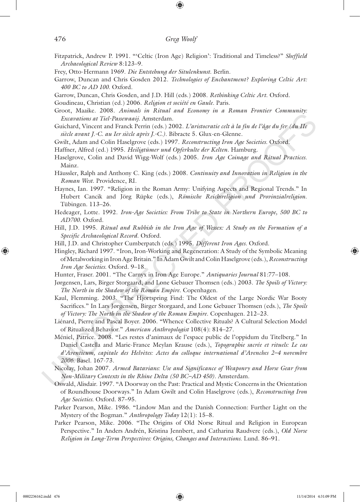⊕

- Fitzpatrick, Andrew P. 1991. "'Celtic (Iron Age) Religion': Traditional and Timeless?" *Sheffield Archaeological Review* 8:123–9.
- Frey, Otto‐Hermann 1969. *Die Entstehung der Situlenkunst*. Berlin.
- Garrow, Duncan and Chris Gosden 2012. *Technologies of Enchantment? Exploring Celtic Art: 400 BC to AD 100*. Oxford.
- Garrow, Duncan, Chris Gosden, and J.D. Hill (eds.) 2008. *Rethinking Celtic Art*. Oxford.

Goudineau, Christian (ed.) 2006. *Religion et société en Gaule*. Paris.

- Groot, Maaike. 2008. *Animals in Ritual and Economy in a Roman Frontier Community: Excavations at Tiel‐Passewaaij*. Amsterdam.
- Guichard, Vincent and Franck Perrin (eds.) 2002. *L'aristocratie celt à la fin de l'âge du fer (du IIe siècle avant J.‐C. au Ier siècle après J.‐C.)*. Bibracte 5. Glux‐en‐Glenne.
- Gwilt, Adam and Colin Haselgrove (eds.) 1997. *Reconstructing Iron Age Societies*. Oxford.

Haffner, Alfred (ed.) 1995. *Heiligtümer und Opferkulte der Kelten*. Hamburg.

- Haselgrove, Colin and David Wigg‐Wolf (eds.) 2005. *Iron Age Coinage and Ritual Practices*. Mainz.
- Häussler, Ralph and Anthony C. King (eds.) 2008. *Continuity and Innovation in Religion in the Roman West*. Providence, RI.
- Haynes, Ian. 1997. "Religion in the Roman Army: Unifying Aspects and Regional Trends." In Hubert Cancik and Jörg Rüpke (eds.), *Römische Reichsreligion und Provinzialreligion*. Tübingen. 113–26.
- Hedeager, Lotte. 1992. *Iron‐Age Societies: From Tribe to State in Northern Europe, 500 BC to AD700*. Oxford.
- Hill, J.D. 1995. *Ritual and Rubbish in the Iron Age of Wessex: A Study on the Formation of a Specific Archaeological Record*. Oxford.
- Hill, J.D. and Christopher Cumberpatch (eds.) 1995. *Different Iron Ages*. Oxford.
- Hingley, Richard 1997. "Iron, Iron-Working and Regeneration: A Study of the Symbolic Meaning of Metalworking in Iron Age Britain." In Adam Gwilt and Colin Haselgrove (eds.), *Reconstructing Iron Age Societies*. Oxford. 9–18.
- Hunter, Fraser. 2001. "The Carnyx in Iron Age Europe." *Antiquaries Journal* 81:77–108.
- Jørgensen, Lars, Birger Storgaard, and Lone Gebauer Thomsen (eds.) 2003. *The Spoils of Victory: The North in the Shadow of the Roman Empire*. Copenhagen.
- Kaul, Flemming. 2003. "The Hjortspring Find: The Oldest of the Large Nordic War Booty Sacrifices." In Lars Jørgensen, Birger Storgaard, and Lone Gebauer Thomsen (eds.), *The Spoils of Victory: The North in the Shadow of the Roman Empire*. Copenhagen. 212–23.
- Liénard, Pierre and Pascal Boyer. 2006. "Whence Collective Rituals? A Cultural Selection Model of Ritualized Behavior." *American Anthropologist* 108(4): 814–27.
- Méniel, Patrice. 2008. "Les restes d'animaux de l'espace public de l'oppidum du Titelberg." In Daniel Castella and Marie‐France Meylan Krause (eds.), *Topographie sacrée et rituels: Le cas d'Aventicum, capitale des Helvètes: Actes du colloque international d'Avenches 2–4 novembre 2006*. Basel. 167‐73. Lating a The Phasewoald, American Matterial Color 21 and the Real of the Real Action (Nicolar Color). Lating and Color Real Action (Nicolar Color) and The Real Action and Color Real Action and Color Real Action and Color
	- Nicolay, Johan 2007. *Armed Batavians: Use and Significance of Weaponry and Horse Gear from Non‐Military Contexts in the Rhine Delta (50 BC–AD 450)*. Amsterdam.
	- Oswald, Alisdair. 1997. "A Doorway on the Past: Practical and Mystic Concerns in the Orientation of Roundhouse Doorways." In Adam Gwilt and Colin Haselgrove (eds.), *Reconstructing Iron Age Societies*. Oxford. 87–95.
	- Parker Pearson, Mike. 1986. "Lindow Man and the Danish Connection: Further Light on the Mystery of the Bogman." *Anthropology Today* 12(1): 15–8.
	- Parker Pearson, Mike. 2006. "The Origins of Old Norse Ritual and Religion in European Perspective." In Anders Andrén, Kristina Jennbert, and Catharina Raudvere (eds.), *Old Norse Religion in Long‐Term Perspectives: Origins, Changes and Interactions*. Lund. 86–91.

⊕